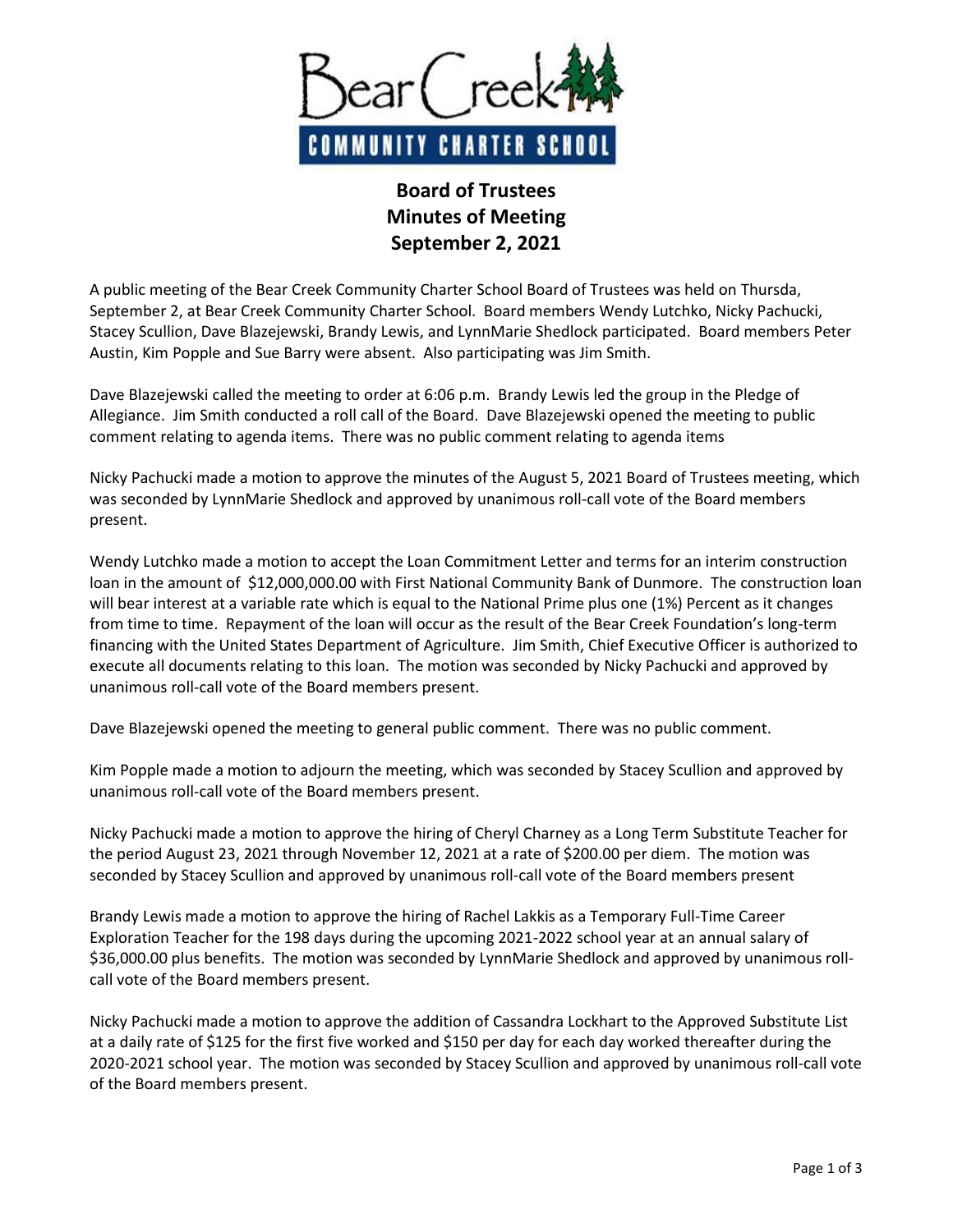

## **Board of Trustees Minutes of Meeting September 2, 2021**

A public meeting of the Bear Creek Community Charter School Board of Trustees was held on Thursda, September 2, at Bear Creek Community Charter School. Board members Wendy Lutchko, Nicky Pachucki, Stacey Scullion, Dave Blazejewski, Brandy Lewis, and LynnMarie Shedlock participated. Board members Peter Austin, Kim Popple and Sue Barry were absent. Also participating was Jim Smith.

Dave Blazejewski called the meeting to order at 6:06 p.m. Brandy Lewis led the group in the Pledge of Allegiance. Jim Smith conducted a roll call of the Board. Dave Blazejewski opened the meeting to public comment relating to agenda items. There was no public comment relating to agenda items

Nicky Pachucki made a motion to approve the minutes of the August 5, 2021 Board of Trustees meeting, which was seconded by LynnMarie Shedlock and approved by unanimous roll-call vote of the Board members present.

Wendy Lutchko made a motion to accept the Loan Commitment Letter and terms for an interim construction loan in the amount of \$12,000,000.00 with First National Community Bank of Dunmore. The construction loan will bear interest at a variable rate which is equal to the National Prime plus one (1%) Percent as it changes from time to time. Repayment of the loan will occur as the result of the Bear Creek Foundation's long-term financing with the United States Department of Agriculture. Jim Smith, Chief Executive Officer is authorized to execute all documents relating to this loan. The motion was seconded by Nicky Pachucki and approved by unanimous roll-call vote of the Board members present.

Dave Blazejewski opened the meeting to general public comment. There was no public comment.

Kim Popple made a motion to adjourn the meeting, which was seconded by Stacey Scullion and approved by unanimous roll-call vote of the Board members present.

Nicky Pachucki made a motion to approve the hiring of Cheryl Charney as a Long Term Substitute Teacher for the period August 23, 2021 through November 12, 2021 at a rate of \$200.00 per diem. The motion was seconded by Stacey Scullion and approved by unanimous roll-call vote of the Board members present

Brandy Lewis made a motion to approve the hiring of Rachel Lakkis as a Temporary Full-Time Career Exploration Teacher for the 198 days during the upcoming 2021-2022 school year at an annual salary of \$36,000.00 plus benefits. The motion was seconded by LynnMarie Shedlock and approved by unanimous rollcall vote of the Board members present.

Nicky Pachucki made a motion to approve the addition of Cassandra Lockhart to the Approved Substitute List at a daily rate of \$125 for the first five worked and \$150 per day for each day worked thereafter during the 2020-2021 school year. The motion was seconded by Stacey Scullion and approved by unanimous roll-call vote of the Board members present.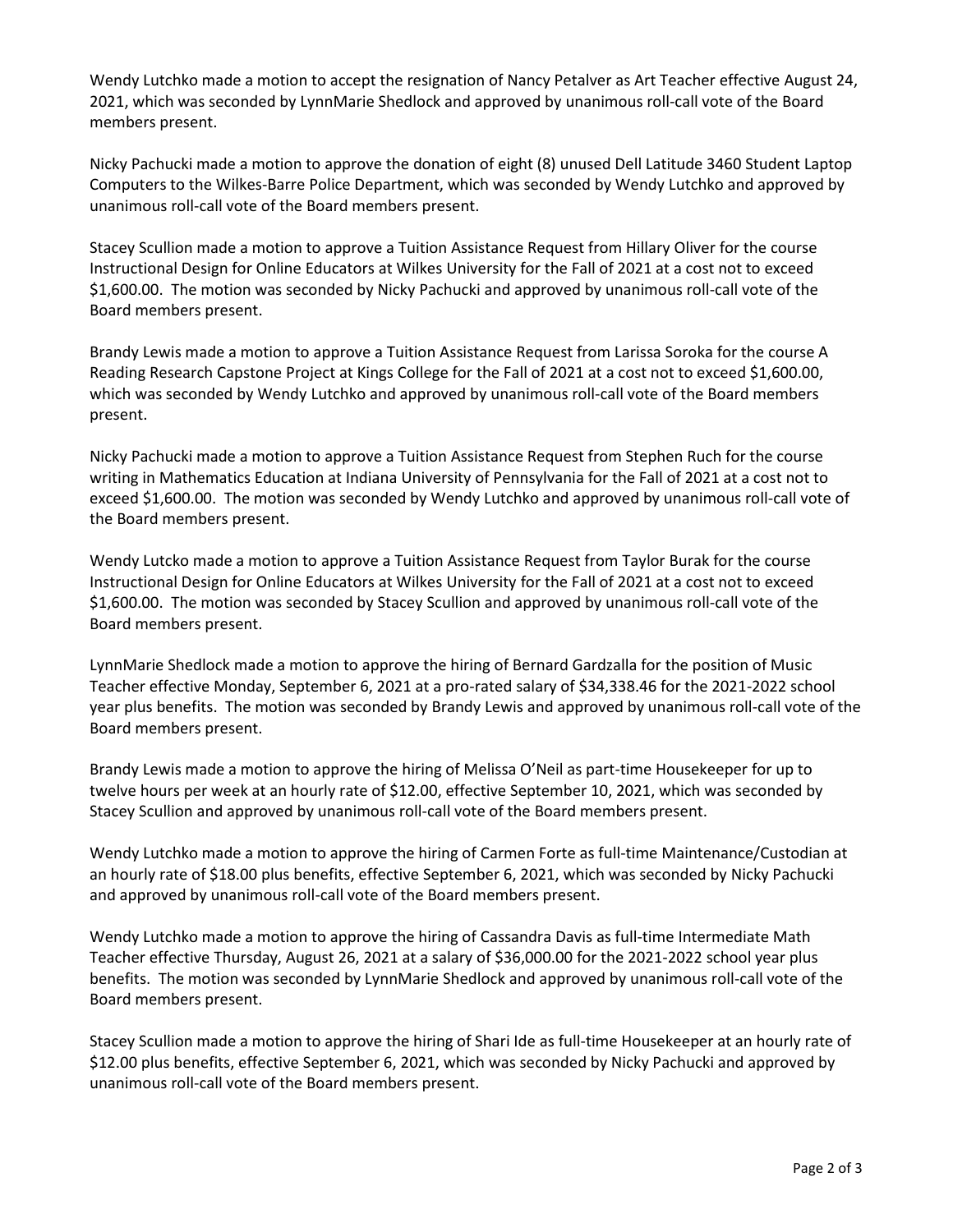Wendy Lutchko made a motion to accept the resignation of Nancy Petalver as Art Teacher effective August 24, 2021, which was seconded by LynnMarie Shedlock and approved by unanimous roll-call vote of the Board members present.

Nicky Pachucki made a motion to approve the donation of eight (8) unused Dell Latitude 3460 Student Laptop Computers to the Wilkes-Barre Police Department, which was seconded by Wendy Lutchko and approved by unanimous roll-call vote of the Board members present.

Stacey Scullion made a motion to approve a Tuition Assistance Request from Hillary Oliver for the course Instructional Design for Online Educators at Wilkes University for the Fall of 2021 at a cost not to exceed \$1,600.00. The motion was seconded by Nicky Pachucki and approved by unanimous roll-call vote of the Board members present.

Brandy Lewis made a motion to approve a Tuition Assistance Request from Larissa Soroka for the course A Reading Research Capstone Project at Kings College for the Fall of 2021 at a cost not to exceed \$1,600.00, which was seconded by Wendy Lutchko and approved by unanimous roll-call vote of the Board members present.

Nicky Pachucki made a motion to approve a Tuition Assistance Request from Stephen Ruch for the course writing in Mathematics Education at Indiana University of Pennsylvania for the Fall of 2021 at a cost not to exceed \$1,600.00. The motion was seconded by Wendy Lutchko and approved by unanimous roll-call vote of the Board members present.

Wendy Lutcko made a motion to approve a Tuition Assistance Request from Taylor Burak for the course Instructional Design for Online Educators at Wilkes University for the Fall of 2021 at a cost not to exceed \$1,600.00. The motion was seconded by Stacey Scullion and approved by unanimous roll-call vote of the Board members present.

LynnMarie Shedlock made a motion to approve the hiring of Bernard Gardzalla for the position of Music Teacher effective Monday, September 6, 2021 at a pro-rated salary of \$34,338.46 for the 2021-2022 school year plus benefits. The motion was seconded by Brandy Lewis and approved by unanimous roll-call vote of the Board members present.

Brandy Lewis made a motion to approve the hiring of Melissa O'Neil as part-time Housekeeper for up to twelve hours per week at an hourly rate of \$12.00, effective September 10, 2021, which was seconded by Stacey Scullion and approved by unanimous roll-call vote of the Board members present.

Wendy Lutchko made a motion to approve the hiring of Carmen Forte as full-time Maintenance/Custodian at an hourly rate of \$18.00 plus benefits, effective September 6, 2021, which was seconded by Nicky Pachucki and approved by unanimous roll-call vote of the Board members present.

Wendy Lutchko made a motion to approve the hiring of Cassandra Davis as full-time Intermediate Math Teacher effective Thursday, August 26, 2021 at a salary of \$36,000.00 for the 2021-2022 school year plus benefits. The motion was seconded by LynnMarie Shedlock and approved by unanimous roll-call vote of the Board members present.

Stacey Scullion made a motion to approve the hiring of Shari Ide as full-time Housekeeper at an hourly rate of \$12.00 plus benefits, effective September 6, 2021, which was seconded by Nicky Pachucki and approved by unanimous roll-call vote of the Board members present.